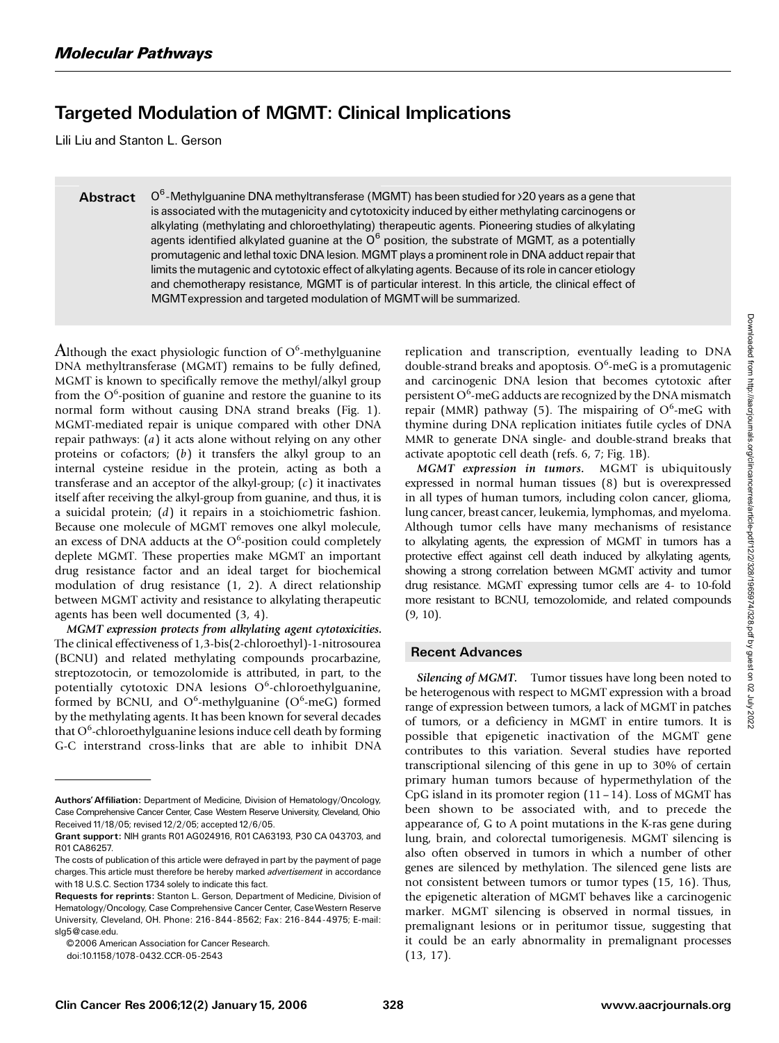## Targeted Modulation of MGMT: Clinical Implications

Lili Liu and Stanton L. Gerson

**Abstract**  $O<sup>6</sup>$ -Methylguanine DNA methyltransferase (MGMT) has been studied for >20 years as a gene that is associated with the mutagenicity and cytotoxicity induced by either methylating carcinogens or alkylating (methylating and chloroethylating) therapeutic agents. Pioneering studies of alkylating agents identified alkylated guanine at the  $O^6$  position, the substrate of MGMT, as a potentially promutagenic and lethal toxic DNA lesion. MGMT plays a prominent role in DNA adduct repair that limits the mutagenic and cytotoxic effect of alkylating agents. Because of its role in cancer etiology and chemotherapy resistance, MGMT is of particular interest. In this article, the clinical effect of MGMTexpression and targeted modulation of MGMTwill be summarized.

 ${\rm Although}$  the exact physiologic function of  ${\rm O}^6$ -methylguanine DNA methyltransferase (MGMT) remains to be fully defined, MGMT is known to specifically remove the methyl/alkyl group from the  $O<sup>6</sup>$ -position of guanine and restore the guanine to its normal form without causing DNA strand breaks (Fig. 1). MGMT-mediated repair is unique compared with other DNA repair pathways: (a) it acts alone without relying on any other proteins or cofactors;  $(b)$  it transfers the alkyl group to an internal cysteine residue in the protein, acting as both a transferase and an acceptor of the alkyl-group;  $(c)$  it inactivates itself after receiving the alkyl-group from guanine, and thus, it is a suicidal protein; (d) it repairs in a stoichiometric fashion. Because one molecule of MGMT removes one alkyl molecule, an excess of DNA adducts at the  $O<sup>6</sup>$ -position could completely deplete MGMT. These properties make MGMT an important drug resistance factor and an ideal target for biochemical modulation of drug resistance (1, 2). A direct relationship between MGMT activity and resistance to alkylating therapeutic agents has been well documented (3, 4).

MGMT expression protects from alkylating agent cytotoxicities. The clinical effectiveness of 1,3-bis(2-chloroethyl)-1-nitrosourea (BCNU) and related methylating compounds procarbazine, streptozotocin, or temozolomide is attributed, in part, to the potentially cytotoxic DNA lesions O<sup>6</sup>-chloroethylguanine, formed by BCNU, and  $O^6$ -methylguanine  $(O^6$ -meG) formed by the methylating agents. It has been known for several decades that O<sup>6</sup>-chloroethylguanine lesions induce cell death by forming G-C interstrand cross-links that are able to inhibit DNA

© 2006 American Association for Cancer Research.

doi:10.1158/1078-0432.CCR-05-2543

replication and transcription, eventually leading to DNA double-strand breaks and apoptosis. O<sup>6</sup>-meG is a promutagenic and carcinogenic DNA lesion that becomes cytotoxic after persistent O<sup>6</sup>-meG adducts are recognized by the DNA mismatch repair (MMR) pathway (5). The mispairing of  $O^6$ -meG with thymine during DNA replication initiates futile cycles of DNA MMR to generate DNA single- and double-strand breaks that activate apoptotic cell death (refs. 6, 7; Fig. 1B).

MGMT expression in tumors. MGMT is ubiquitously expressed in normal human tissues (8) but is overexpressed in all types of human tumors, including colon cancer, glioma, lung cancer, breast cancer, leukemia, lymphomas, and myeloma. Although tumor cells have many mechanisms of resistance to alkylating agents, the expression of MGMT in tumors has a protective effect against cell death induced by alkylating agents, showing a strong correlation between MGMT activity and tumor drug resistance. MGMT expressing tumor cells are 4- to 10-fold more resistant to BCNU, temozolomide, and related compounds (9, 10).

## Recent Advances

Silencing of MGMT. Tumor tissues have long been noted to be heterogenous with respect to MGMT expression with a broad range of expression between tumors, a lack of MGMT in patches of tumors, or a deficiency in MGMT in entire tumors. It is possible that epigenetic inactivation of the MGMT gene contributes to this variation. Several studies have reported transcriptional silencing of this gene in up to 30% of certain primary human tumors because of hypermethylation of the CpG island in its promoter region (11– 14). Loss of MGMT has been shown to be associated with, and to precede the appearance of, G to A point mutations in the K-ras gene during lung, brain, and colorectal tumorigenesis. MGMT silencing is also often observed in tumors in which a number of other genes are silenced by methylation. The silenced gene lists are not consistent between tumors or tumor types (15, 16). Thus, the epigenetic alteration of MGMT behaves like a carcinogenic marker. MGMT silencing is observed in normal tissues, in premalignant lesions or in peritumor tissue, suggesting that it could be an early abnormality in premalignant processes (13, 17).

Authors'Affiliation: Department of Medicine, Division of Hematology/Oncology, Case Comprehensive Cancer Center, Case Western Reserve University, Cleveland, Ohio Received 11/18/05; revised 12/2/05; accepted 12/6/05.

Grant support: NIH grants R01AG024916, R01CA63193, P30 CA 043703, and R01CA86257.

The costs of publication of this article were defrayed in part by the payment of page charges. This article must therefore be hereby marked *advertisement* in accordance with 18 U.S.C. Section 1734 solely to indicate this fact.

Requests for reprints: Stanton L. Gerson, Department of Medicine, Division of Hematology/Oncology, Case Comprehensive Cancer Center, CaseWestern Reserve University, Cleveland, OH. Phone: 216-844-8562; Fax: 216-844-4975; E-mail: slg5*@*case.edu.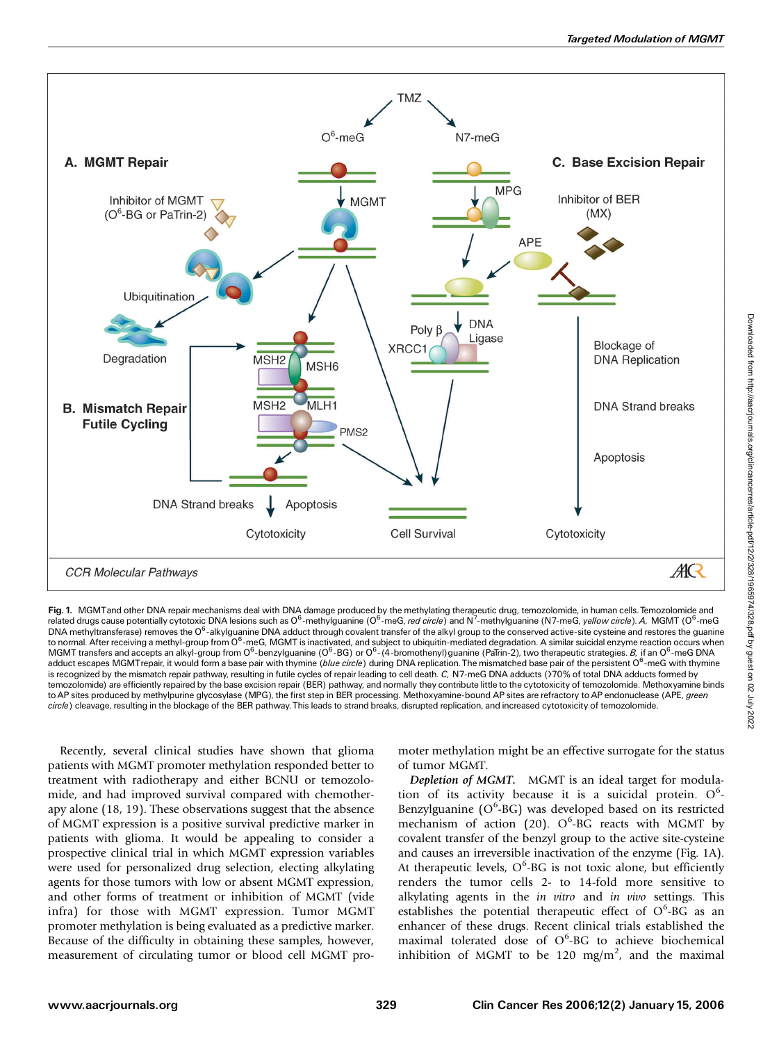

Fig. 1. MGMTand other DNA repair mechanisms deal with DNA damage produced by the methylating therapeutic drug, temozolomide, in human cells. Temozolomide and related drugs cause potentially cytotoxic DNA lesions such as O<sup>6</sup>-methylguanine (O<sup>6</sup>-meG, *red circle*) and N<sup>7</sup>-methylguanine (N7-meG, *yellow circle). A, N*GMT (O<sup>6</sup>-meG<br>DNA methyltransferase) removes the O<sup>6</sup>-alkylgua to normal. After receiving a methyl-group from O<sup>6</sup>-meG, MGMT is inactivated, and subject to ubiquitin-mediated degradation. A similar suicidal enzyme reaction occurs when MGMT transfers and accepts an alkyl-group from O<sup>6</sup>-benzylguanine (O<sup>6</sup>-BG) or O<sup>6</sup>-(4-bromothenyl)guanine (PaTrin-2), two therapeutic strategies. *B*, if an O<sup>6</sup>-meG DNA adduct escapes MGMTrepair, it would form a base pair with thymine (*blue circle*) during DNA replication. The mismatched base pair of the persistent O<sup>6</sup>-meG with thymine is recognized by the mismatch repair pathway, resulting in futile cycles of repair leading to cell death. C, N7-meG DNA adducts (>70% of total DNA adducts formed by temozolomide) are efficiently repaired by the base excision repair (BER) pathway, and normally they contribute little to the cytotoxicity of temozolomide. Methoxyamine binds to AP sites produced by methylpurine glycosylase (MPG), the first step in BER processing. Methoxyamine-bound AP sites are refractory to AP endonuclease (APE, green circle) cleavage, resulting in the blockage of the BER pathway. This leads to strand breaks, disrupted replication, and increased cytotoxicity of temozolomide.

Recently, several clinical studies have shown that glioma patients with MGMT promoter methylation responded better to treatment with radiotherapy and either BCNU or temozolomide, and had improved survival compared with chemotherapy alone (18, 19). These observations suggest that the absence of MGMT expression is a positive survival predictive marker in patients with glioma. It would be appealing to consider a prospective clinical trial in which MGMT expression variables were used for personalized drug selection, electing alkylating agents for those tumors with low or absent MGMT expression, and other forms of treatment or inhibition of MGMT (vide infra) for those with MGMT expression. Tumor MGMT promoter methylation is being evaluated as a predictive marker. Because of the difficulty in obtaining these samples, however, measurement of circulating tumor or blood cell MGMT promoter methylation might be an effective surrogate for the status of tumor MGMT.

Depletion of MGMT. MGMT is an ideal target for modulation of its activity because it is a suicidal protein.  $O^6$ -Benzylguanine (O<sup>6</sup>-BG) was developed based on its restricted mechanism of action (20).  $O^6$ -BG reacts with MGMT by covalent transfer of the benzyl group to the active site-cysteine and causes an irreversible inactivation of the enzyme (Fig. 1A). At therapeutic levels,  $O^6$ -BG is not toxic alone, but efficiently renders the tumor cells 2- to 14-fold more sensitive to alkylating agents in the in vitro and in vivo settings. This establishes the potential therapeutic effect of  $O^6$ -BG as an enhancer of these drugs. Recent clinical trials established the maximal tolerated dose of  $O<sup>6</sup>$ -BG to achieve biochemical inhibition of MGMT to be 120 mg/m<sup>2</sup>, and the maximal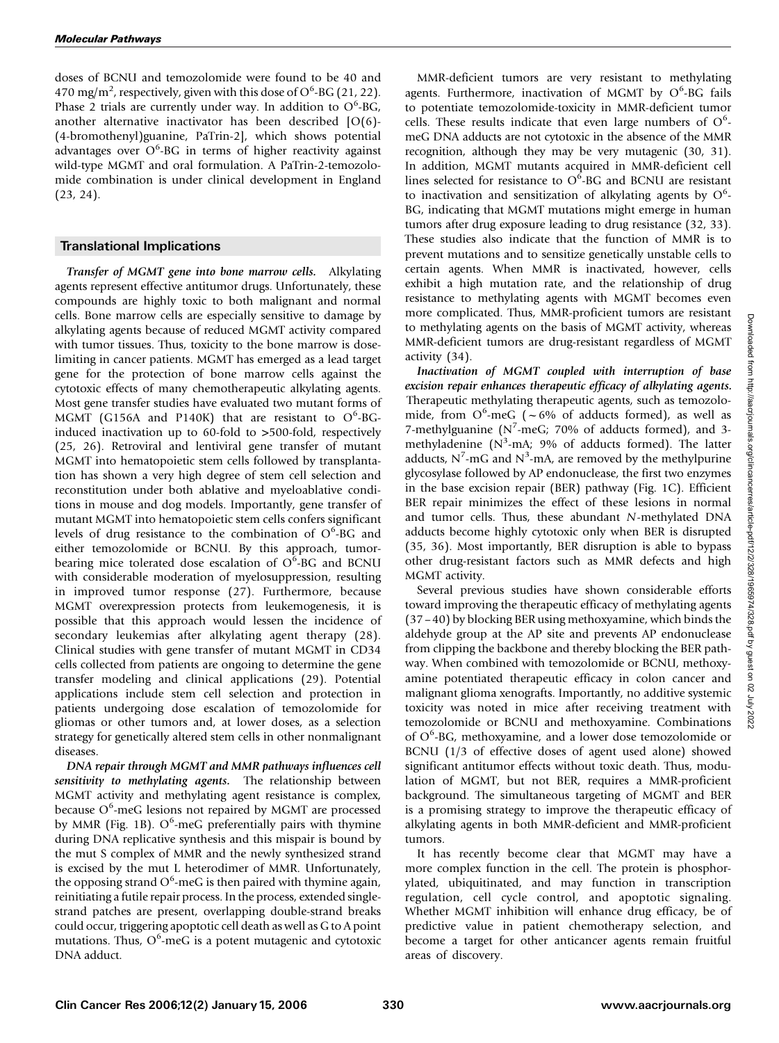doses of BCNU and temozolomide were found to be 40 and 470 mg/m<sup>2</sup>, respectively, given with this dose of  $O^6$ -BG (21, 22). Phase 2 trials are currently under way. In addition to  $O^6$ -BG, another alternative inactivator has been described [O(6)- (4-bromothenyl)guanine, PaTrin-2], which shows potential advantages over  $O^6$ -BG in terms of higher reactivity against wild-type MGMT and oral formulation. A PaTrin-2-temozolomide combination is under clinical development in England (23, 24).

## Translational Implications

Transfer of MGMT gene into bone marrow cells. Alkylating agents represent effective antitumor drugs. Unfortunately, these compounds are highly toxic to both malignant and normal cells. Bone marrow cells are especially sensitive to damage by alkylating agents because of reduced MGMT activity compared with tumor tissues. Thus, toxicity to the bone marrow is doselimiting in cancer patients. MGMT has emerged as a lead target gene for the protection of bone marrow cells against the cytotoxic effects of many chemotherapeutic alkylating agents. Most gene transfer studies have evaluated two mutant forms of MGMT (G156A and P140K) that are resistant to  $O^6$ -BGinduced inactivation up to 60-fold to >500-fold, respectively (25, 26). Retroviral and lentiviral gene transfer of mutant MGMT into hematopoietic stem cells followed by transplantation has shown a very high degree of stem cell selection and reconstitution under both ablative and myeloablative conditions in mouse and dog models. Importantly, gene transfer of mutant MGMT into hematopoietic stem cells confers significant levels of drug resistance to the combination of O<sup>6</sup>-BG and either temozolomide or BCNU. By this approach, tumorbearing mice tolerated dose escalation of  $O<sup>6</sup>$ -BG and BCNU with considerable moderation of myelosuppression, resulting in improved tumor response (27). Furthermore, because MGMT overexpression protects from leukemogenesis, it is possible that this approach would lessen the incidence of secondary leukemias after alkylating agent therapy (28). Clinical studies with gene transfer of mutant MGMT in CD34 cells collected from patients are ongoing to determine the gene transfer modeling and clinical applications (29). Potential applications include stem cell selection and protection in patients undergoing dose escalation of temozolomide for gliomas or other tumors and, at lower doses, as a selection strategy for genetically altered stem cells in other nonmalignant diseases.

DNA repair through MGMT and MMR pathways influences cell sensitivity to methylating agents. The relationship between MGMT activity and methylating agent resistance is complex, because O<sup>6</sup>-meG lesions not repaired by MGMT are processed by MMR (Fig. 1B). O<sup>6</sup>-meG preferentially pairs with thymine during DNA replicative synthesis and this mispair is bound by the mut S complex of MMR and the newly synthesized strand is excised by the mut L heterodimer of MMR. Unfortunately, the opposing strand  $O^6$ -meG is then paired with thymine again, reinitiating a futile repair process. In the process, extended singlestrand patches are present, overlapping double-strand breaks could occur, triggering apoptotic cell death as well as G to A point mutations. Thus,  $O^6$ -meG is a potent mutagenic and cytotoxic DNA adduct.

MMR-deficient tumors are very resistant to methylating agents. Furthermore, inactivation of MGMT by O<sup>6</sup>-BG fails to potentiate temozolomide-toxicity in MMR-deficient tumor cells. These results indicate that even large numbers of  $O^6$ meG DNA adducts are not cytotoxic in the absence of the MMR recognition, although they may be very mutagenic (30, 31). In addition, MGMT mutants acquired in MMR-deficient cell lines selected for resistance to  $O^6$ -BG and BCNU are resistant to inactivation and sensitization of alkylating agents by  $O^6$ -BG, indicating that MGMT mutations might emerge in human tumors after drug exposure leading to drug resistance (32, 33). These studies also indicate that the function of MMR is to prevent mutations and to sensitize genetically unstable cells to certain agents. When MMR is inactivated, however, cells exhibit a high mutation rate, and the relationship of drug resistance to methylating agents with MGMT becomes even more complicated. Thus, MMR-proficient tumors are resistant to methylating agents on the basis of MGMT activity, whereas MMR-deficient tumors are drug-resistant regardless of MGMT activity (34).

Inactivation of MGMT coupled with interruption of base excision repair enhances therapeutic efficacy of alkylating agents. Therapeutic methylating therapeutic agents, such as temozolomide, from  $O^6$ -meG ( $\sim$  6% of adducts formed), as well as 7-methylguanine ( $N^7$ -meG; 70% of adducts formed), and 3methyladenine (N<sup>3</sup>-mA; 9% of adducts formed). The latter adducts,  $N^7$ -mG and  $N^3$ -mA, are removed by the methylpurine glycosylase followed by AP endonuclease, the first two enzymes in the base excision repair (BER) pathway (Fig. 1C). Efficient BER repair minimizes the effect of these lesions in normal and tumor cells. Thus, these abundant N-methylated DNA adducts become highly cytotoxic only when BER is disrupted (35, 36). Most importantly, BER disruption is able to bypass other drug-resistant factors such as MMR defects and high MGMT activity.

Several previous studies have shown considerable efforts toward improving the therapeutic efficacy of methylating agents (37 –40) by blocking BER using methoxyamine, which binds the aldehyde group at the AP site and prevents AP endonuclease from clipping the backbone and thereby blocking the BER pathway. When combined with temozolomide or BCNU, methoxyamine potentiated therapeutic efficacy in colon cancer and malignant glioma xenografts. Importantly, no additive systemic toxicity was noted in mice after receiving treatment with temozolomide or BCNU and methoxyamine. Combinations of O<sup>6</sup>-BG, methoxyamine, and a lower dose temozolomide or BCNU (1/3 of effective doses of agent used alone) showed significant antitumor effects without toxic death. Thus, modulation of MGMT, but not BER, requires a MMR-proficient background. The simultaneous targeting of MGMT and BER is a promising strategy to improve the therapeutic efficacy of alkylating agents in both MMR-deficient and MMR-proficient tumors.

It has recently become clear that MGMT may have a more complex function in the cell. The protein is phosphorylated, ubiquitinated, and may function in transcription regulation, cell cycle control, and apoptotic signaling. Whether MGMT inhibition will enhance drug efficacy, be of predictive value in patient chemotherapy selection, and become a target for other anticancer agents remain fruitful areas of discovery.